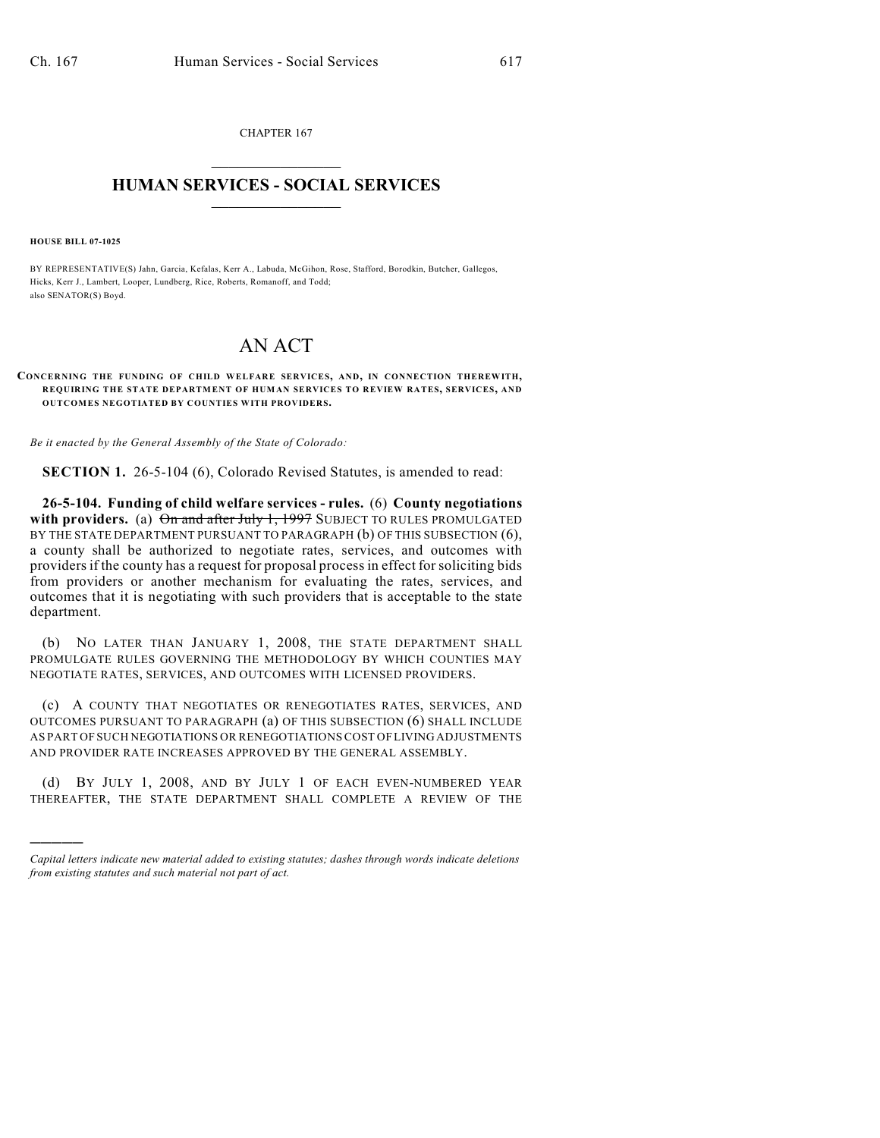CHAPTER 167  $\mathcal{L}_\text{max}$  . The set of the set of the set of the set of the set of the set of the set of the set of the set of the set of the set of the set of the set of the set of the set of the set of the set of the set of the set

## **HUMAN SERVICES - SOCIAL SERVICES**  $\frac{1}{2}$  ,  $\frac{1}{2}$  ,  $\frac{1}{2}$  ,  $\frac{1}{2}$  ,  $\frac{1}{2}$  ,  $\frac{1}{2}$  ,  $\frac{1}{2}$

**HOUSE BILL 07-1025**

)))))

BY REPRESENTATIVE(S) Jahn, Garcia, Kefalas, Kerr A., Labuda, McGihon, Rose, Stafford, Borodkin, Butcher, Gallegos, Hicks, Kerr J., Lambert, Looper, Lundberg, Rice, Roberts, Romanoff, and Todd; also SENATOR(S) Boyd.

## AN ACT

## **CONCERNING THE FUNDING OF CHILD WELFARE SERVICES, AND, IN CONNECTION THEREWITH, REQUIRING THE STATE DEPARTMENT OF HUMAN SERVICES TO REVIEW RATES, SERVICES, AND OUTCOMES NEGOTIATED BY COUNTIES WITH PROVIDERS.**

*Be it enacted by the General Assembly of the State of Colorado:*

**SECTION 1.** 26-5-104 (6), Colorado Revised Statutes, is amended to read:

**26-5-104. Funding of child welfare services - rules.** (6) **County negotiations** with providers. (a)  $\Theta$ n and after July 1, 1997 SUBJECT TO RULES PROMULGATED BY THE STATE DEPARTMENT PURSUANT TO PARAGRAPH (b) OF THIS SUBSECTION (6), a county shall be authorized to negotiate rates, services, and outcomes with providers if the county has a request for proposal process in effect for soliciting bids from providers or another mechanism for evaluating the rates, services, and outcomes that it is negotiating with such providers that is acceptable to the state department.

(b) NO LATER THAN JANUARY 1, 2008, THE STATE DEPARTMENT SHALL PROMULGATE RULES GOVERNING THE METHODOLOGY BY WHICH COUNTIES MAY NEGOTIATE RATES, SERVICES, AND OUTCOMES WITH LICENSED PROVIDERS.

(c) A COUNTY THAT NEGOTIATES OR RENEGOTIATES RATES, SERVICES, AND OUTCOMES PURSUANT TO PARAGRAPH (a) OF THIS SUBSECTION (6) SHALL INCLUDE AS PART OF SUCH NEGOTIATIONS OR RENEGOTIATIONS COST OF LIVING ADJUSTMENTS AND PROVIDER RATE INCREASES APPROVED BY THE GENERAL ASSEMBLY.

(d) BY JULY 1, 2008, AND BY JULY 1 OF EACH EVEN-NUMBERED YEAR THEREAFTER, THE STATE DEPARTMENT SHALL COMPLETE A REVIEW OF THE

*Capital letters indicate new material added to existing statutes; dashes through words indicate deletions from existing statutes and such material not part of act.*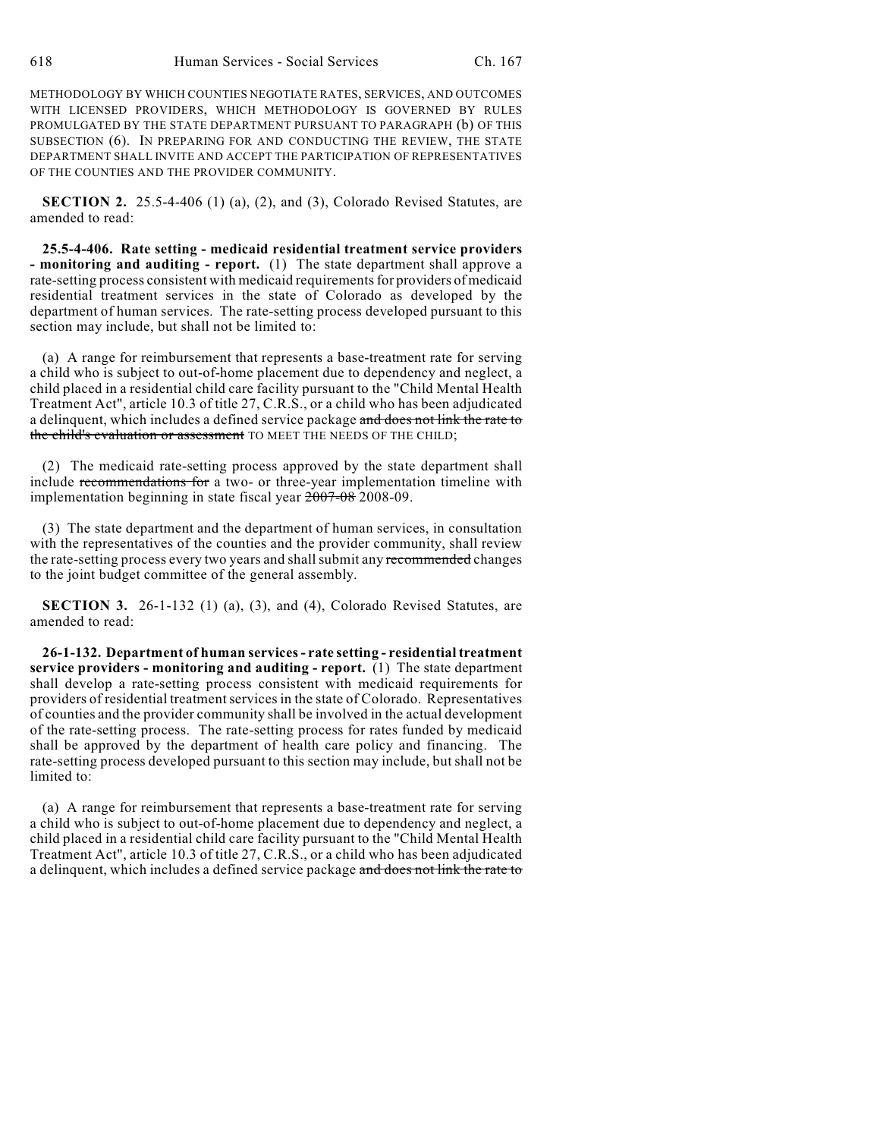METHODOLOGY BY WHICH COUNTIES NEGOTIATE RATES, SERVICES, AND OUTCOMES WITH LICENSED PROVIDERS, WHICH METHODOLOGY IS GOVERNED BY RULES PROMULGATED BY THE STATE DEPARTMENT PURSUANT TO PARAGRAPH (b) OF THIS SUBSECTION (6). IN PREPARING FOR AND CONDUCTING THE REVIEW, THE STATE DEPARTMENT SHALL INVITE AND ACCEPT THE PARTICIPATION OF REPRESENTATIVES OF THE COUNTIES AND THE PROVIDER COMMUNITY.

**SECTION 2.** 25.5-4-406 (1) (a), (2), and (3), Colorado Revised Statutes, are amended to read:

**25.5-4-406. Rate setting - medicaid residential treatment service providers - monitoring and auditing - report.** (1) The state department shall approve a rate-setting process consistent with medicaid requirements for providers of medicaid residential treatment services in the state of Colorado as developed by the department of human services. The rate-setting process developed pursuant to this section may include, but shall not be limited to:

(a) A range for reimbursement that represents a base-treatment rate for serving a child who is subject to out-of-home placement due to dependency and neglect, a child placed in a residential child care facility pursuant to the "Child Mental Health Treatment Act", article 10.3 of title 27, C.R.S., or a child who has been adjudicated a delinquent, which includes a defined service package and does not link the rate to the child's evaluation or assessment TO MEET THE NEEDS OF THE CHILD;

(2) The medicaid rate-setting process approved by the state department shall include recommendations for a two- or three-year implementation timeline with implementation beginning in state fiscal year  $\frac{2007-08}{2008-09}$ .

(3) The state department and the department of human services, in consultation with the representatives of the counties and the provider community, shall review the rate-setting process every two years and shall submit any recommended changes to the joint budget committee of the general assembly.

**SECTION 3.** 26-1-132 (1) (a), (3), and (4), Colorado Revised Statutes, are amended to read:

**26-1-132. Department of human services - rate setting - residential treatment service providers - monitoring and auditing - report.** (1) The state department shall develop a rate-setting process consistent with medicaid requirements for providers of residential treatment services in the state of Colorado. Representatives of counties and the provider community shall be involved in the actual development of the rate-setting process. The rate-setting process for rates funded by medicaid shall be approved by the department of health care policy and financing. The rate-setting process developed pursuant to this section may include, but shall not be limited to:

(a) A range for reimbursement that represents a base-treatment rate for serving a child who is subject to out-of-home placement due to dependency and neglect, a child placed in a residential child care facility pursuant to the "Child Mental Health Treatment Act", article 10.3 of title 27, C.R.S., or a child who has been adjudicated a delinquent, which includes a defined service package and does not link the rate to